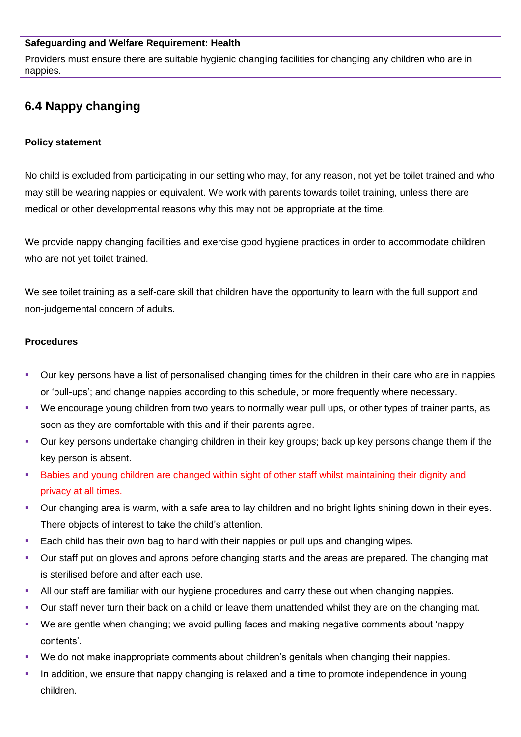## **Safeguarding and Welfare Requirement: Health**

Providers must ensure there are suitable hygienic changing facilities for changing any children who are in nappies.

## **6.4 Nappy changing**

## **Policy statement**

No child is excluded from participating in our setting who may, for any reason, not yet be toilet trained and who may still be wearing nappies or equivalent. We work with parents towards toilet training, unless there are medical or other developmental reasons why this may not be appropriate at the time.

We provide nappy changing facilities and exercise good hygiene practices in order to accommodate children who are not yet toilet trained.

We see toilet training as a self-care skill that children have the opportunity to learn with the full support and non-judgemental concern of adults.

## **Procedures**

- Our key persons have a list of personalised changing times for the children in their care who are in nappies or 'pull-ups'; and change nappies according to this schedule, or more frequently where necessary.
- We encourage young children from two years to normally wear pull ups, or other types of trainer pants, as soon as they are comfortable with this and if their parents agree.
- Our key persons undertake changing children in their key groups; back up key persons change them if the key person is absent.
- Babies and young children are changed within sight of other staff whilst maintaining their dignity and privacy at all times.
- Our changing area is warm, with a safe area to lay children and no bright lights shining down in their eyes. There objects of interest to take the child's attention.
- Each child has their own bag to hand with their nappies or pull ups and changing wipes.
- Our staff put on gloves and aprons before changing starts and the areas are prepared. The changing mat is sterilised before and after each use.
- All our staff are familiar with our hygiene procedures and carry these out when changing nappies.
- Our staff never turn their back on a child or leave them unattended whilst they are on the changing mat.
- We are gentle when changing; we avoid pulling faces and making negative comments about 'nappy contents'.
- We do not make inappropriate comments about children's genitals when changing their nappies.
- In addition, we ensure that nappy changing is relaxed and a time to promote independence in young children.